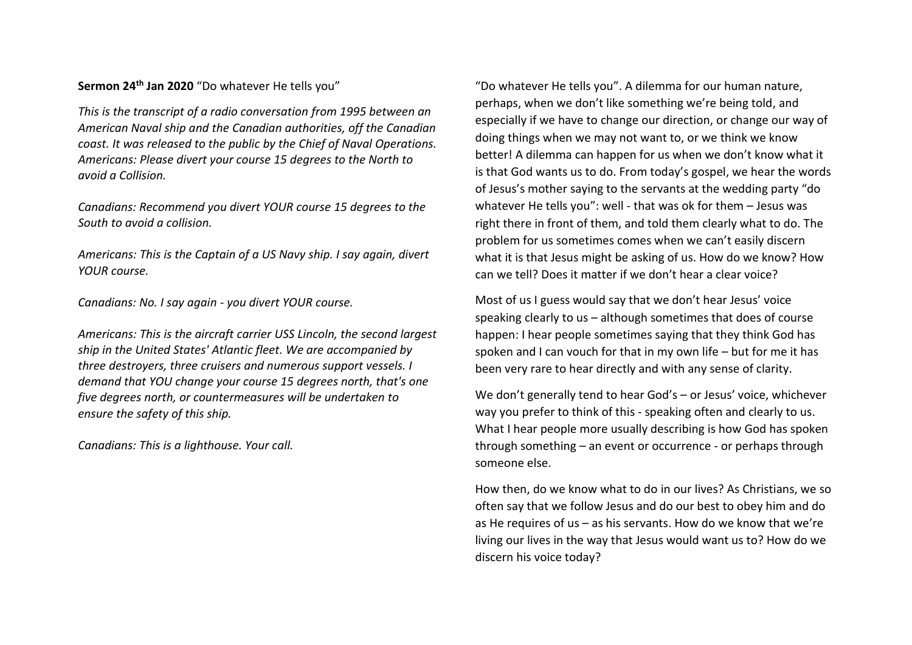## **Sermon 24th Jan 2020** "Do whatever He tells you"

*This is the transcript of a radio conversation from 1995 between an American Naval ship and the Canadian authorities, off the Canadian coast. It was released to the public by the [Chief of Naval Operations.](https://en.wikipedia.org/wiki/Chief_of_Naval_Operations) Americans: Please divert your course 15 degrees to the North to avoid a Collision.*

*Canadians: Recommend you divert YOUR course 15 degrees to the South to avoid a collision.*

*Americans: This is the Captain of a US Navy ship. I say again, divert YOUR course.*

*Canadians: No. I say again - you divert YOUR course.*

*Americans: This is the aircraft carrier [USS Lincoln,](https://en.wikipedia.org/wiki/USS_Abraham_Lincoln_(CVN-72)) the second largest ship in the United States[' Atlantic fleet.](https://en.wikipedia.org/wiki/United_States_Fleet_Forces_Command) We are accompanied by three destroyers, three cruisers and numerous support vessels. I demand that YOU change your course 15 degrees north, that's one five degrees north, or countermeasures will be undertaken to ensure the safety of this ship.*

*Canadians: This is a [lighthouse.](https://en.wikipedia.org/wiki/List_of_lighthouses_in_Newfoundland_and_Labrador) Your call.*

"Do whatever He tells you". A dilemma for our human nature, perhaps, when we don't like something we're being told, and especially if we have to change our direction, or change our way of doing things when we may not want to, or we think we know better! A dilemma can happen for us when we don't know what it is that God wants us to do. From today's gospel, we hear the words of Jesus's mother saying to the servants at the wedding party "do whatever He tells you": well - that was ok for them – Jesus was right there in front of them, and told them clearly what to do. The problem for us sometimes comes when we can't easily discern what it is that Jesus might be asking of us. How do we know? How can we tell? Does it matter if we don't hear a clear voice?

Most of us I guess would say that we don't hear Jesus' voice speaking clearly to us – although sometimes that does of course happen: I hear people sometimes saying that they think God has spoken and I can vouch for that in my own life – but for me it has been very rare to hear directly and with any sense of clarity.

We don't generally tend to hear God's – or Jesus' voice, whichever way you prefer to think of this - speaking often and clearly to us. What I hear people more usually describing is how God has spoken through something – an event or occurrence - or perhaps through someone else.

How then, do we know what to do in our lives? As Christians, we so often say that we follow Jesus and do our best to obey him and do as He requires of us – as his servants. How do we know that we're living our lives in the way that Jesus would want us to? How do we discern his voice today?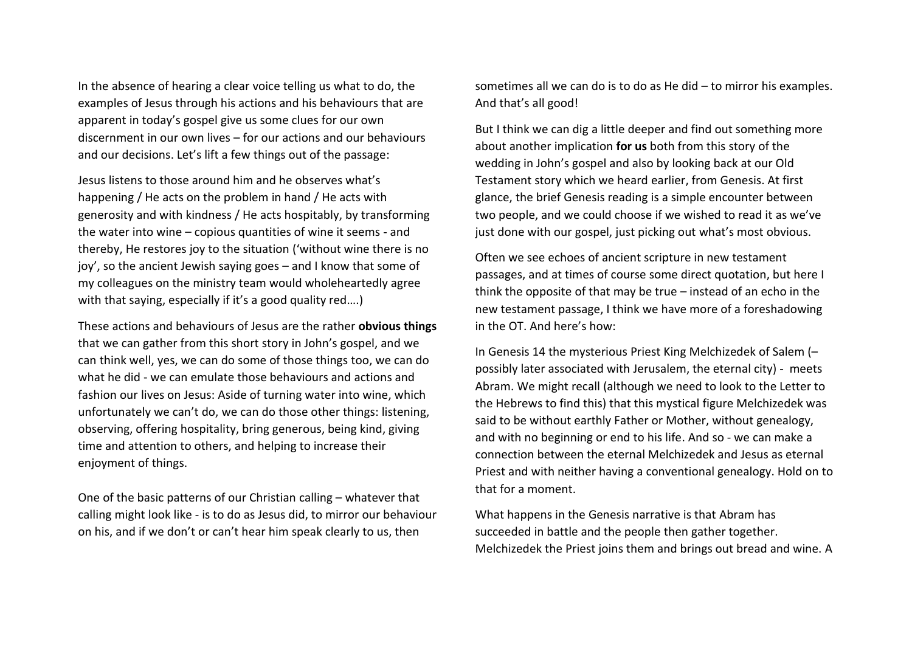In the absence of hearing a clear voice telling us what to do, the examples of Jesus through his actions and his behaviours that are apparent in today's gospel give us some clues for our own discernment in our own lives – for our actions and our behaviours and our decisions. Let's lift a few things out of the passage:

Jesus listens to those around him and he observes what's happening / He acts on the problem in hand / He acts with generosity and with kindness / He acts hospitably, by transforming the water into wine – copious quantities of wine it seems - and thereby, He restores joy to the situation ('without wine there is no joy', so the ancient Jewish saying goes – and I know that some of my colleagues on the ministry team would wholeheartedly agree with that saying, especially if it's a good quality red....)

These actions and behaviours of Jesus are the rather **obvious things** that we can gather from this short story in John's gospel, and we can think well, yes, we can do some of those things too, we can do what he did - we can emulate those behaviours and actions and fashion our lives on Jesus: Aside of turning water into wine, which unfortunately we can't do, we can do those other things: listening, observing, offering hospitality, bring generous, being kind, giving time and attention to others, and helping to increase their enjoyment of things.

One of the basic patterns of our Christian calling – whatever that calling might look like - is to do as Jesus did, to mirror our behaviour on his, and if we don't or can't hear him speak clearly to us, then

sometimes all we can do is to do as He did – to mirror his examples. And that's all good!

But I think we can dig a little deeper and find out something more about another implication **for us** both from this story of the wedding in John's gospel and also by looking back at our Old Testament story which we heard earlier, from Genesis. At first glance, the brief Genesis reading is a simple encounter between two people, and we could choose if we wished to read it as we've just done with our gospel, just picking out what's most obvious.

Often we see echoes of ancient scripture in new testament passages, and at times of course some direct quotation, but here I think the opposite of that may be true – instead of an echo in the new testament passage, I think we have more of a foreshadowing in the OT. And here's how:

In Genesis 14 the mysterious Priest King Melchizedek of Salem (– possibly later associated with Jerusalem, the eternal city) - meets Abram. We might recall (although we need to look to the Letter to the Hebrews to find this) that this mystical figure Melchizedek was said to be without earthly Father or Mother, without genealogy, and with no beginning or end to his life. And so - we can make a connection between the eternal Melchizedek and Jesus as eternal Priest and with neither having a conventional genealogy. Hold on to that for a moment.

What happens in the Genesis narrative is that Abram has succeeded in battle and the people then gather together. Melchizedek the Priest joins them and brings out bread and wine. A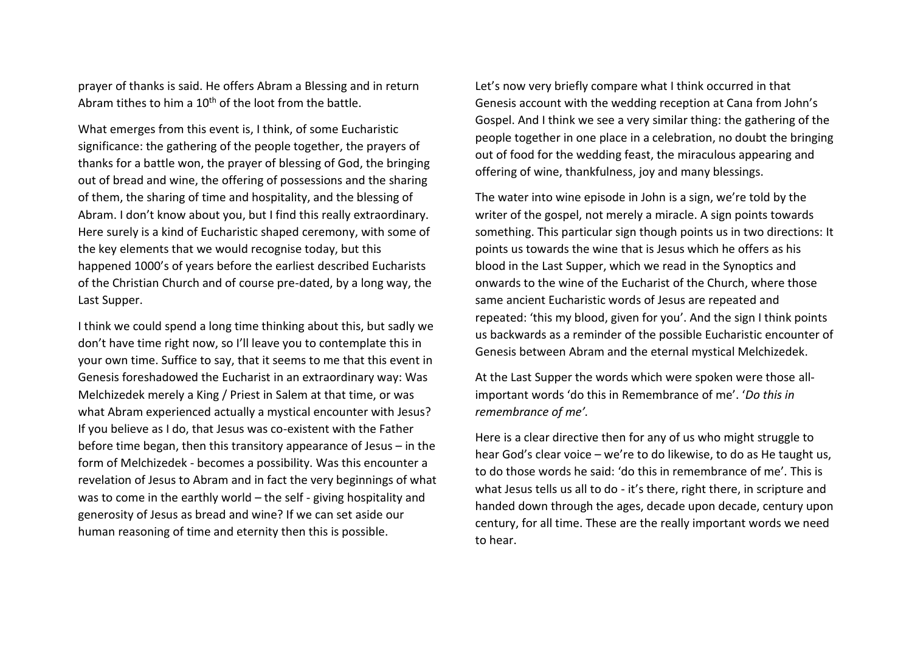prayer of thanks is said. He offers Abram a Blessing and in return Abram tithes to him a  $10<sup>th</sup>$  of the loot from the battle.

What emerges from this event is, I think, of some Eucharistic significance: the gathering of the people together, the prayers of thanks for a battle won, the prayer of blessing of God, the bringing out of bread and wine, the offering of possessions and the sharing of them, the sharing of time and hospitality, and the blessing of Abram. I don't know about you, but I find this really extraordinary. Here surely is a kind of Eucharistic shaped ceremony, with some of the key elements that we would recognise today, but this happened 1000's of years before the earliest described Eucharists of the Christian Church and of course pre-dated, by a long way, the Last Supper.

I think we could spend a long time thinking about this, but sadly we don't have time right now, so I'll leave you to contemplate this in your own time. Suffice to say, that it seems to me that this event in Genesis foreshadowed the Eucharist in an extraordinary way: Was Melchizedek merely a King / Priest in Salem at that time, or was what Abram experienced actually a mystical encounter with Jesus? If you believe as I do, that Jesus was co-existent with the Father before time began, then this transitory appearance of Jesus – in the form of Melchizedek - becomes a possibility. Was this encounter a revelation of Jesus to Abram and in fact the very beginnings of what was to come in the earthly world – the self - giving hospitality and generosity of Jesus as bread and wine? If we can set aside our human reasoning of time and eternity then this is possible.

Let's now very briefly compare what I think occurred in that Genesis account with the wedding reception at Cana from John's Gospel. And I think we see a very similar thing: the gathering of the people together in one place in a celebration, no doubt the bringing out of food for the wedding feast, the miraculous appearing and offering of wine, thankfulness, joy and many blessings.

The water into wine episode in John is a sign, we're told by the writer of the gospel, not merely a miracle. A sign points towards something. This particular sign though points us in two directions: It points us towards the wine that is Jesus which he offers as his blood in the Last Supper, which we read in the Synoptics and onwards to the wine of the Eucharist of the Church, where those same ancient Eucharistic words of Jesus are repeated and repeated: 'this my blood, given for you'. And the sign I think points us backwards as a reminder of the possible Eucharistic encounter of Genesis between Abram and the eternal mystical Melchizedek.

At the Last Supper the words which were spoken were those allimportant words 'do this in Remembrance of me'. '*Do this in remembrance of me'.*

Here is a clear directive then for any of us who might struggle to hear God's clear voice – we're to do likewise, to do as He taught us, to do those words he said: 'do this in remembrance of me'. This is what Jesus tells us all to do - it's there, right there, in scripture and handed down through the ages, decade upon decade, century upon century, for all time. These are the really important words we need to hear.